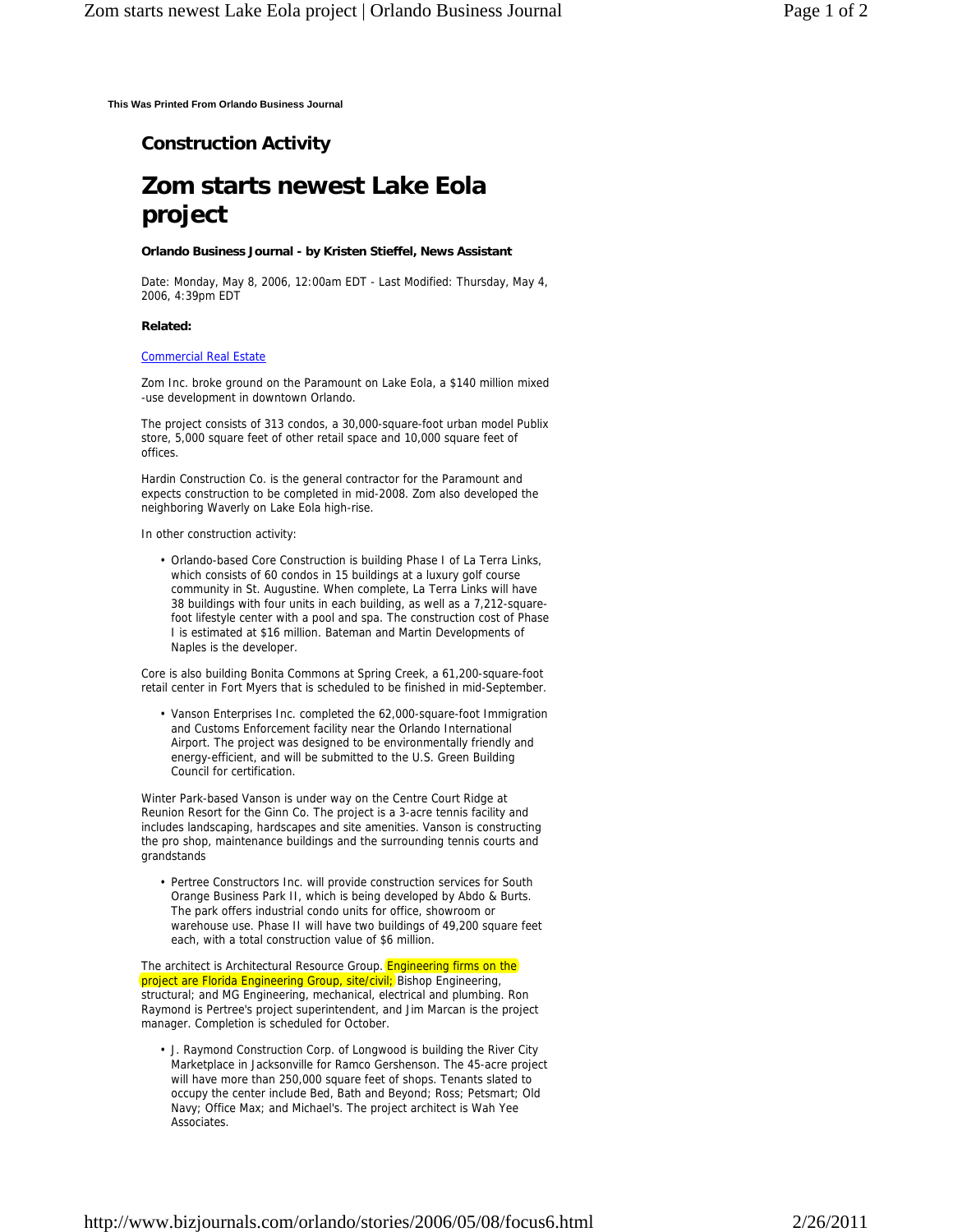**This Was Printed From Orlando Business Journal**

## **Construction Activity**

# **Zom starts newest Lake Eola project**

#### **Orlando Business Journal - by Kristen Stieffel, News Assistant**

Date: Monday, May 8, 2006, 12:00am EDT - Last Modified: Thursday, May 4, 2006, 4:39pm EDT

#### **Related:**

### Commercial Real Estate

Zom Inc. broke ground on the Paramount on Lake Eola, a \$140 million mixed -use development in downtown Orlando.

The project consists of 313 condos, a 30,000-square-foot urban model Publix store, 5,000 square feet of other retail space and 10,000 square feet of offices.

Hardin Construction Co. is the general contractor for the Paramount and expects construction to be completed in mid-2008. Zom also developed the neighboring Waverly on Lake Eola high-rise.

In other construction activity:

• Orlando-based Core Construction is building Phase I of La Terra Links, which consists of 60 condos in 15 buildings at a luxury golf course community in St. Augustine. When complete, La Terra Links will have 38 buildings with four units in each building, as well as a 7,212-squarefoot lifestyle center with a pool and spa. The construction cost of Phase I is estimated at \$16 million. Bateman and Martin Developments of Naples is the developer.

Core is also building Bonita Commons at Spring Creek, a 61,200-square-foot retail center in Fort Myers that is scheduled to be finished in mid-September.

• Vanson Enterprises Inc. completed the 62,000-square-foot Immigration and Customs Enforcement facility near the Orlando International Airport. The project was designed to be environmentally friendly and energy-efficient, and will be submitted to the U.S. Green Building Council for certification.

Winter Park-based Vanson is under way on the Centre Court Ridge at Reunion Resort for the Ginn Co. The project is a 3-acre tennis facility and includes landscaping, hardscapes and site amenities. Vanson is constructing the pro shop, maintenance buildings and the surrounding tennis courts and grandstands

• Pertree Constructors Inc. will provide construction services for South Orange Business Park II, which is being developed by Abdo & Burts. The park offers industrial condo units for office, showroom or warehouse use. Phase II will have two buildings of 49,200 square feet each, with a total construction value of \$6 million.

The architect is Architectural Resource Group. Engineering firms on the project are Florida Engineering Group, site/civil; Bishop Engineering, structural; and MG Engineering, mechanical, electrical and plumbing. Ron Raymond is Pertree's project superintendent, and Jim Marcan is the project manager. Completion is scheduled for October.

J. Raymond Construction Corp. of Longwood is building the River City Marketplace in Jacksonville for Ramco Gershenson. The 45-acre project will have more than 250,000 square feet of shops. Tenants slated to occupy the center include Bed, Bath and Beyond; Ross; Petsmart; Old Navy; Office Max; and Michael's. The project architect is Wah Yee Associates. •